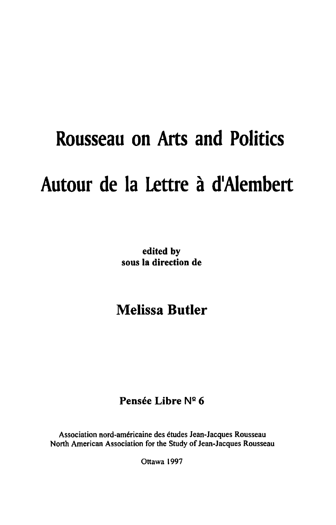## **Rousseau on Arts and Politics**  Autour de la Lettre à d'Alembert

edited by sous la direction de

## **Melissa Butler**

## Pensée Libre Nº 6

Association nord-americaine des etudes Jean-Jacques Rousseau North American Association for the Study of Jean-Jacques Rousseau

Ottawa 1997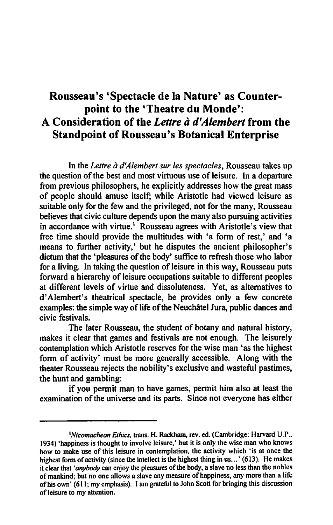## **Rousseau's 'Spectacle de la Nature' as Counterpoint to the 'Theatre du Monde':**  A Consideration of the *Lettre a d'Alembert* from the **Standpoint of Rousseau's Botanical Enterprise**

In the *Letlre a d'Alembert sur les spectacles,* Rousseau takes up the question of the best and most virtuous use of leisure. In a departure from previous philosophers, he explicitly addresses how the great mass of people should amuse itself; while Aristotle had viewed leisure as suitable only for the few and the privileged, not for the many, Rousseau believes that civic culture depends upon the many also pursuing activities in accordance with virtue.' Rousseau agrees with Aristotle's view that free time should provide the multitudes with 'a fonn of rest,' and 'a means to further activity,' but he disputes the ancient philosopher's dictum that the 'pleasures of the body' suffice to refresh those who labor for a living. In taking the question of leisure in this way, Rousseau puts forward a hierarchy of leisure occupations suitable to different peoples at different levels of virtue and dissoluteness. Yet, as alternatives to d' Alembert's theatrical spectacle, he provides only a few concrete examples: the simple way of life of the Neuchatel Jura, public dances and civic festivals.

The later Rousseau, the student of botany and natural history, makes it clear that games and festivals are not enough. The leisurely contemplation which Aristotle reserves for the wise man 'as the highest fonn of activity' must be more generally accessible. Along with the theater Rousseau rejects the nobility's exclusive and wasteful pastimes, the hunt and gambling:

if you pennit man to have games, pennit him also at least the examination of the universe and its parts. Since not everyone has either

<sup>&</sup>lt;sup>1</sup>Nicomachean Ethics, trans. H. Rackham, rev. ed. (Cambridge: Harvard U.P., 1934) 'happiness is thought to involve leisure,' but it is only the wise man who knows how to make use of this leisure in contemplation, the activity which 'is at once the highest form of activity (since the intellect is the highest thing in us...' (613). He makes it clear that *'anybody* can enjoy the pleasures of the body, a slave no less than the nobles of mankind; but no one allows a slave any measure of happiness, any more than a life of his own' (611; my emphasis). I am grateful to John Scott for bringing this discussion of leisure to my attention.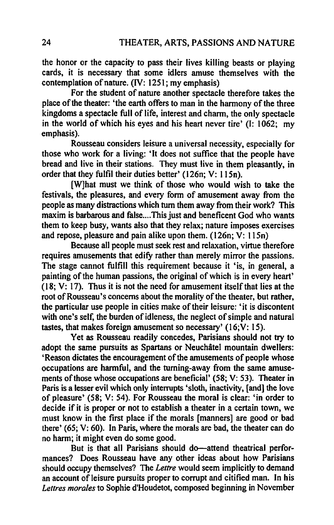the honor or the capacity to pass their lives killing beasts or playing cards, it is necessary that some idlers amuse themselves with the contemplation of nature. (IV: 1251; my emphasis)

For the student of nature another spectacle therefore takes the place of the theater: 'the earth offers to man in the harmony of the three kingdoms a spectacle full of life, interest and charm, the only spectacle in the world of which his eyes and his heart never tire' (I: 1062; my emphasis).

Rousseau considers leisure a universal necessity, especially for those who work for a living: 'It does not suffice that the people have bread and live in their stations. They must live in them pleasantly, in order that they fulfil their duties better' (I 26n; V: I 15n).

(W]hat must we think of those who would wish to take the festivals, the pleasures, and every form of amusement away from the people as many distractions which turn them away from their work? This maxim is barbarous and false....This just and beneficent God who wants them to keep busy, wants also that they relax; nature imposes exercises and repose, pleasure and pain alike upon them. (126n; V: 115n)

Because all people must seek rest and relaxation, virtue therefore requires amusements that edify rather than merely mirror the passions. The stage cannot fulfill this requirement because it 'is, in general, a painting of the human passions, the original of which is in every heart'  $(18; V: 17)$ . Thus it is not the need for amusement itself that lies at the root of Rousseau's concerns about the morality of the theater, but rather, the particular use people in cities make of their leisure: 'it is discontent with one's self, the burden of idleness, the neglect of simple and natural tastes, that makes foreign amusement so necessary' (16;V: 15).

Yet as Rousseau readily concedes, Parisians should not try to adopt the same pursuits as Spartans or Neuchâtel mountain dwellers: 'Reason dictates the encouragement of the amusements of people whose occupations are harmful, and the turning-away from the same amusements of those whose occupations are beneficial' (58; V: 53). Theater in Paris is a lesser evil which only interrupts 'sloth, inactivity, [and] the love of pleasure' (58; V: 54). For Rousseau the moral is clear: 'in order to decide if it is proper or not to establish a theater in a certain town, we must know in the first place if the morals [manners] are good or bad there' (65; V: 60). In Paris, where the morals are bad, the theater can do no harm; it might even do some good.

But is that all Parisians should do—attend theatrical performances? Does Rousseau have any other ideas about how Parisians should occupy themselves? The *Lettre* would seem implicitly to demand an account of leisure pursuits proper to corrupt and citified man. In his *Letlres morales* to Sophie d'Houdetot, composed beginning in November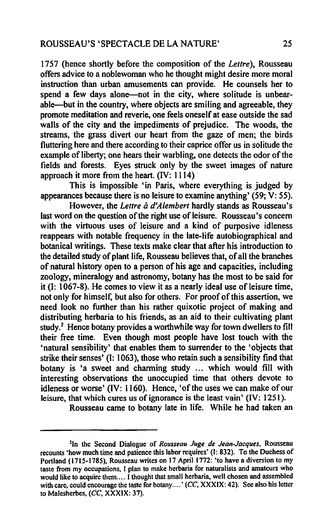1757 (hence shortly before the composition of the *Lettre),* Rousseau offers advice to a noblewoman who he thought might desire more moral instruction than urban amusements can provide. He counsels her to spend a few days alone—not in the city, where solitude is unbearable-but in the country, where objects are smiling and agreeable, they promote meditation and reverie, one feels oneself at ease outside the sad walls of the city and the impediments of prejudice. The woods, the streams, the grass divert our heart from the gaze of men; the birds fluttering here and there according to their caprice offer us in solitude the example of liberty; one hears their warbling, one detects the odor of the fields and forests. Eyes struck only by the sweet images of nature approach it more from the heart. (IV: 1114)

This is impossible 'in Paris, where everything is judged by appearances because there is no leisure to examine anything' (59;  $\bar{V}$ : 55).

However, the *Lettre à d'Alembert* hardly stands as Rousseau's last word on the question of the right use of leisure. Rousseau's concern with the virtuous uses of leisure and a kind of purposive idleness reappears with notable frequency in the late-life autobiographical and botanical writings. These texts make clear that after his introduction to the detailed study of plant life, Rousseau believes that, of all the branches of natural history open to a person of his age and capacities, including zoology, mineralogy and astronomy, botany has the most to be said for it  $(I: 1067-8)$ . He comes to view it as a nearly ideal use of leisure time, not only for himself, but also for others. For proof of this assertion, we need look no further than his rather quixotic project of making and distributing herbaria to his friends, as an aid to their cultivating plant study.2 Hence botany provides a worthwhile way for town dwellers to fill their free time. Even though most people have lost touch with the 'natural sensibility' that enables them to surrender to the 'objects that strike their senses' (I: 1063), those who retain such a sensibility find that botany is 'a sweet and charming study ... which would fill with interesting observations the unoccupied time that others devote to idleness or worse' (IV: 1160). Hence, 'of the uses we can make of our leisure, that which cures us of ignorance is the least vain' (IV: 125).

Rousseau came to botany late in life. While he had taken an

<sup>2</sup>In the Second Dialogue of *Rousseau Juge de Jean-Jacques,* Rousseau recounts 'how much time and patience this labor requires' (I: 832). To the Duchess of Portland (1715-1785), Rousseau writes on 17 April 1772: 'to have a diversion to my taste from my occupations, 1 plan to make herbaria for naturalists and amateurs who would like to acquire them.... I thought that small herbaria, well chosen and assembled with care, could encourage the taste for botany....' (CC, XXXIX: 42). See also his letter to Malesherbes, (CC, XXXIX: 37).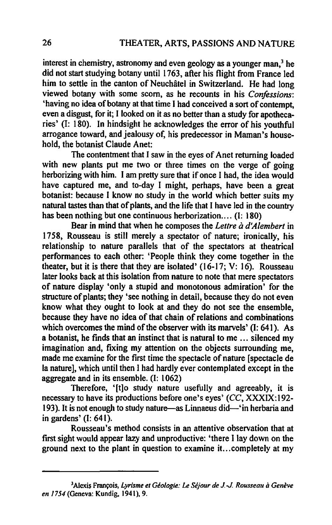interest in chemistry, astronomy and even geology as a younger man, $3$  he did not start studying botany until 1763, after his flight from France led him to settle in the canton of Neuchâtel in Switzerland. He had long viewed botany with some scorn, as he recounts in his *Confossions:*  'having no idea of botany at that time 1 had conceived a sort of contempt, even a disgust, for it; I looked on it as no better than a study for apothecaries' (I: 180). In hindsight he acknowledges the error of his youthful arrogance toward, and jealousy of, his predecessor in Maman's household, the botanist Claude Anet:

The contentment that I saw in the eyes of Anet returning loaded with new plants put me two or three times on the verge of going herborizing with him. I am pretty sure that if once I had, the idea would have captured me, and to-day I might, perhaps, have been a great botanist: because I know no study in the world which better suits my natural tastes than that of plants, and the life that 1 have led in the country has been nothing but one continuous herborization.... (I: 180)

Bear in mind that when he composes the *Letlre a d'Alembert* in 1758, Rousseau is still merely a spectator of nature; ironically, his relationship to nature parallels that of the spectators at theatrical performances to each other: 'People think they come together in the theater, but it is there that they are isolated' (16-17; V: 16). Rousseau later looks back at this isolation from nature to note that mere spectators of nature display 'only a stupid and monotonous admiration' for the structure of plants; they 'see nothing in detail, because they do not even know what they ought to look at and they do not see the ensemble, because they have no idea of that chain of relations and combinations which overcomes the mind of the observer with its marvels' (I: 641). As a botanist, he finds that an instinct that is natural to me ... silenced my imagination and, fixing my attention on the objects surrounding me, made me examine for the first time the spectacle of nature [spectacle de la nature], which until then I had hardly ever contemplated except in the aggregate and in its ensemble. (I: 1062)

Therefore, '[t]o study nature usefully and agreeably, it is necessary to have its productions before one's eyes' *(CC,* XXXIX:192- 193). It is not enough to study nature—as Linnaeus did—'in herbaria and in gardens' (I: 641).

Rousseau's method consists in an attentive observation that at first sight would appear lazy and unproductive: 'there I lay down on the ground next to the plant in question to examine it. .. completely at my

<sup>3</sup> Alexis Fran~ois, *Lyrisme el Geologie:* Le *Sejour de J.* -J. *Rousseau a Geneve en* 1754 (Geneva: Kundig. 1941).9.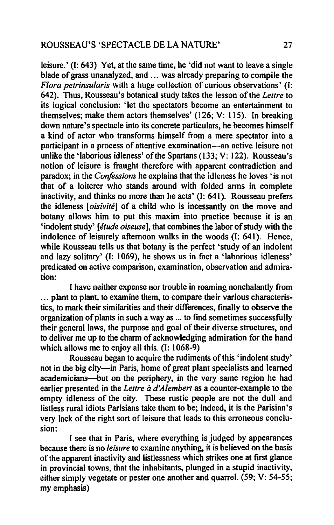leisure.' (I: 643) Yet, at the same time, he 'did not want to leave a single blade of grass unanalyzed, and ... was already preparing to compile the *Flora petrinsu/aris* with a huge collection of curious observations' (I: 642). Thus, Rousseau's botanical study takes the lesson of the *Letlre* to its logical conclusion: 'let the spectators become an entertainment to themselves; make them actors themselves' (126; V: 115). In breaking down nature's spectacle into its concrete particulars, he becomes himself a kind of actor who transforms himself from a mere spectator into a participant in a process of attentive examination—an active leisure not unlike the 'laborious idleness' of the Spartans (133; V: 122). Rousseau's notion of leisure is fraught therefore with apparent contradiction and paradox; in the *Confessions* he explains that the idleness he loves 'is not that of a loiterer who stands around with folded arms in complete inactivity, and thinks no more than he acts' (I: 641). Rousseau prefers the idleness *[oisivite]* of a child who is incessantly on the move and botany allows him to put this maxim into practice because it is an 'indolent study' *[elude oiseuse],* that combines the labor of study with the indolence of leisurely afternoon walks in the woods (I: 641). Hence, while Rousseau tells us that botany is the perfect 'study of an indolent and lazy solitary' (I: 1069), he shows us in fact a 'laborious idleness' predicated on active comparison, examination, observation and admiration:

I have neither expense nor trouble in roaming nonchalantly from ... plant to plant, to examine them, to compare their various characteristics, to mark their similarities and their differences, fmally to observe the organization of plants in such a way as ... to find sometimes successfully their general laws, the purpose and goal of their diverse structures, and to deliver me up to the charm of acknowledging admiration for the hand which allows me to enjoy all this. (I: 1068-9)

Rousseau began to acquire the rudiments of this 'indolent study' not in the big city-in Paris, home of great plant specialists and learned academicians--but on the periphery, in the very same region he had earlier presented in the *Lettre à d'Alembert* as a counter-example to the empty idleness of the city. These rustic people are not the dull and listless rural idiots Parisians take them to be; indeed, it is the Parisian's very lack of the right sort of leisure that leads to this erroneous conclusion:

I see that in Paris, where everything is judged by appearances because there is no *leisure* to examine anything, it is believed on the basis of the apparent inactivity and listlessness which strikes one at first glance in provincial towns, that the inhabitants, plunged in a stupid inactivity, either simply vegetate or pester one another and quarrel. (59; V: 54-55; my emphasis)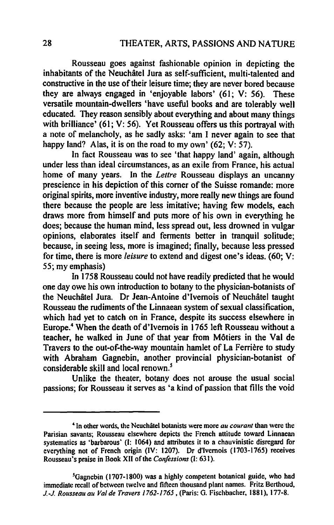Rousseau goes against fashionable opinion in depicting the inhabitants of the Neuchatel Jura as self-sufficient, multi-talented and constructive in the use of their leisure time; they are never bored because they are always engaged in 'enjoyable labors' (61; V: 56). These versatile mountain-dwellers 'have useful books and are tolerably well educated. They reason sensibly about everything and about many things with brilliance' (61; V: 56). Yet Rousseau offers us this portrayal with a note of melancholy, as he sadly asks: 'am I never again to see that happy land? Alas, it is on the road to my own' (62; V: 57).

In fact Rousseau was to see 'that happy land' again, although under less than ideal circumstances, as an exile from France, his actual home of many years. In the *Lettre* Rousseau displays an uncanny prescience in his depiction of this comer of the Suisse romande: more original spirits, more inventive industry, more really new things are found there because the people are less imitative; having few models, each draws more from himself and puts more of his own in everything he does; because the human mind, less spread out, less drowned in vulgar opinions, elaborates itself and ferments better in tranquil solitude: because, in seeing less, more is imagined; finally, because less pressed for time, there is more *leisure* to extend and digest one's ideas. (60; V: 55; my emphasis)

In 1758 Rousseau could not have readily predicted that he would one day owe his own introduction to botany to the physician-botanists of the Neuchatel Jura. Dr Jean-Antoine d'Ivemois of Neuchatel taught Rousseau the rudiments of the Linnaean system of sexual classification, which had yet to catch on in France, despite its success elsewhere in Europe.4 When the death of d'Ivernois in 1765 left Rousseau without a teacher, he walked in June of that year from Motiers in the Val de Travers to the out-of-the-way mountain hamlet of La Ferrière to study with Abraham Gagnebin, another provincial physician-botanist of considerable skill and local renown.<sup>5</sup>

Unlike the theater, botany does not arouse the usual social passions; for Rousseau it serves as 'a kind of passion that fills the void

<sup>4</sup> In other words, the Neuchatel botanists were more *au courant* than were the Parisian savants; Rousseau elsewhere depicts the French attitude toward Linnaean systematics as 'barbarous' (I: 1064) and attributes it to a chauvinistic disregard for everything not of French origin (IV: 1207). Dr d'Ivemois (1703-1765) receives Rousseau's praise in Book XII of the *Confossions* (I: 631).

<sup>&#</sup>x27;Gagnebin (1707-1800) was a highly competent botanical guide, who had immediate recall of between twelve and fifteen thousand plant names. Fritz Berthoud, 1.-J. *Rousseau au Val de Travers 1762-1765,* (Paris: O. Fischbacher, 1881). 177-8.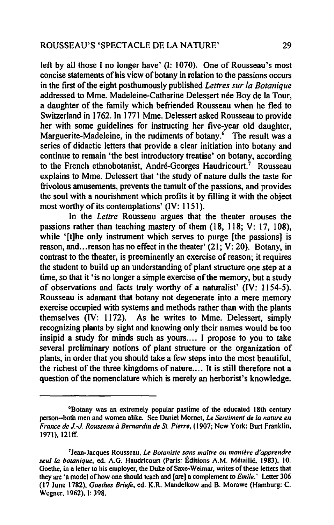left by all those I no longer have' (I: 1070). One of Rousseau's most concise statements of his view of botany in relation to the passions occurs in the first of the eight posthumously published *Lettres sur la Botanique*  addressed to Mme. Madeleine-Catherine Delessert née Boy de la Tour, a daughter of the family which befriended Rousseau when he fled to Switzerland in 1762. In 1771 Mme. Delessert asked Rousseau to provide her with some guidelines for instructing her five-year old daughter, Marguerite-Madeleine, in the rudiments of botany.<sup>6</sup> The result was a series of didactic letters that provide a clear initiation into botany and continue to remain 'the best introductory treatise' on botany, according to the French ethnobotanist, André-Georges Haudricourt.<sup>7</sup> Rousseau explains to Mme. Delessert that 'the study of nature dulls the taste for frivolous amusements, prevents the tumult of the passions, and provides the soul with a nourishment which profits it by filling it with the object most worthy of its contemplations' (IV: 1151).

In the *Lettre* Rousseau argues that the theater arouses the passions rather than teaching mastery of them (18, 118; V: 17, 108), while '[t]he only instrument which serves to purge [the passions] is reason, and ... reason has no effect in the theater' (21; V: 20). Botany, in contrast to the theater, is preeminently an exercise of reason; it requires the student to build up an understanding of plant structure one step at a time, so that it 'is no longer a simple exercise of the memory, but a study of observations and facts truly worthy of a naturalist' (IV: 1154-5). Rousseau is adamant that botany not degenerate into a mere memory exercise occupied with systems and methods rather than with the plants themselves (IV: 1172). As he writes to Mme. Delessert, simply recognizing plants by sight and knowing only their names would be too insipid a study for minds such as yours.... I propose to you to take several preliminary notions of plant structure or the organization of plants, in order that you should take a few steps into the most beautiful, the richest of the three kingdoms of nature.... It is still therefore not a question of the nomenclature which is merely an herborist's knowledge.

<sup>6</sup>Botany was an extremely popular pastime of the educated 18th century person--both men and women alike. See Daniel Mornet, *Le Sentiment de la nature en France de* J-J *Rousseau a Bernardin de* Sf. *Pierre,* (1907; New York: Burt Franklin, 1971), 121ff.

<sup>7</sup>Jean-Jacques Rousseau, *Le Botaniste sans maitre ou maniere d'apprendre seulla botanique,* ed. A.G. Haudricourt (Paris: Editions A.M. Melailie. 1983), 10. Goethe, in a letter to his employer. the Duke of Saxe-Weimar. writes of these letters that they are '8 model of how one should teach and [are) a complement to *Emile.'* Letter 306 (17 June 1782). *Goethes Briele.* ed. K.R. Mandelkow and B. Morawe (Hamburg: C. Wegner. 1962).1: 398.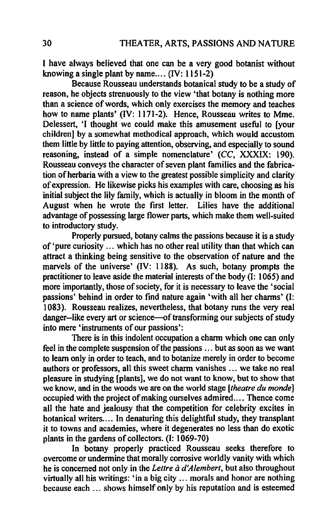I have always believed that one can be a very good botanist without knowing a single plant by name....  $(IV: 1151-2)$ 

Because Rousseau understands botanical study to be a study of reason, he objects strenuously to the view 'that botany is nothing more than a science of words, which only exercises the memory and teaches how to name plants' (IV: 1171-2). Hence, Rousseau writes to Mme. Delessert, 'I thought we could make this amusement useful to [your children] by a somewhat methodical approach, which would accustom them little by little to paying attention, observing, and especially to sound reasoning, instead of a simple nomenclature' (CC, XXXIX: 190). Rousseau conveys the character of seven plant families and the fabrication of herbaria with a view to the greatest possible simplicity and clarity of expression. He likewise picks his examples with care, choosing as his initial subject the lily family, which is actually in bloom in the month of August when he wrote the first letter. Lilies have the additional advantage of possessing large flower parts, which make them well-suited to introductory study.

Properly pursued, botany calms the passions because it is a study of 'pure curiosity ... which has no other real utility than that which can attract a thinking being sensitive to the observation of nature and the marvels of the universe' (IV: 1188). As such, botany prompts the practitioner to leave aside the material interests of the body (I: 1065) and more importantly, those of society, for it is necessary to leave the 'social passions' behind in order to find nature again 'with all her charms' (I: 1083). Rousseau realizes, nevertheless, that botany runs the very real danger--like every art or science-of transforming our subjects of study into mere 'instruments of our passions':

There is in this indolent occupation a charm which one can only feel in the complete suspension of the passions ... but as soon as we want to learn only in order to teach, and to botanize merely in order to become authors or professors, all this sweet charm vanishes ... we take no real pleasure in studying [plants], we do not want to know, but to show that we know, and in the woods we are on the world stage *[theatre du monde]*  occupied with the project of making ourselves admired.... Thence come all the hate and jealousy that the competition for celebrity excites in botanical writers.... In denaturing this delightful study, they transplant it to towns and academies, where it degenerates no less than do exotic plants in the gardens of collectors. (I: 1069-70)

In botany properly practiced Rousseau seeks therefore to overcome or undermine that morally corrosive worldly vanity with which he is concerned not only in the *Lettre à d'Alembert*, but also throughout virtually all his writings: 'in a big city ... morals and honor are nothing because each ... shows himself only by his reputation and is esteemed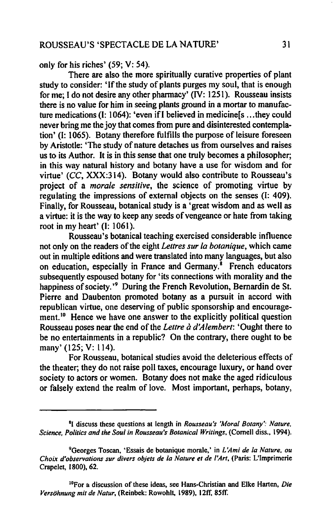only for his riches' (59; V: 54).

There are also the more spiritually curative properties of plant study to consider: 'If the study of plants purges my soul, that is enough for me; I do not desire any other pharmacy' (IV: 1251). Rousseau insists there is no value for him in seeing plants ground in a mortar to manufacture medications (I: 1064): 'even ifI believed in medicine[s ... they could never bring me the joy that comes from pure and disinterested contemplation' (I: 1065). Botany therefore fulfills the purpose of leisure foreseen by Aristotle: 'The study of nature detaches us from ourselves and raises us to its Author. It is in this sense that one truly becomes a philosopher; in this way natural history and botany have a use for wisdom and for virtue' (CC, XXX:314). Botany would also contribute to Rousseau's project of a *morale sensitive,* the science of promoting virtue by regulating the impressions of external objects on the senses (I: 409). Finally, for Rousseau, botanical study is a 'great wisdom and as well as a virtue: it is the way to keep any seeds of vengeance or hate from taking root in my heart'  $(I: 1061)$ .

Rousseau's botanical teaching exercised considerable influence not only on the readers of the eight *Letlres sur fa botanique,* which came out in multiple editions and were translated into many languages, but also on education, especially in France and Germany.<sup>8</sup> French educators subsequently espoused botany for 'its connections with morality and the happiness of society.'<sup>9</sup> During the French Revolution, Bernardin de St. Pierre and Daubenton promoted botany as a pursuit in accord with republican virtue, one deserving of public sponsorship and encouragement.<sup>10</sup> Hence we have one answer to the explicitly political question Rousseau poses near the end of the *Letlre a d'Alembert:* 'Ought there to be no entertainments in a republic? On the contrary, there ought to be many' (125; V: 114).

For Rousseau, botanical studies avoid the deleterious effects of the theater; they do not raise poll taxes, encourage luxury, or hand over society to actors or women. Botany does not make the aged ridiculous or falsely extend the realm of love. Most important, perhaps, botany,

<sup>&</sup>lt;sup>8</sup>I discuss these questions at length in *Rousseau's 'Moral Botany': Nature*, *Science, Politics and the Soul in Rousseau's Botanical Writings,* (Cornell diss., 1994).

<sup>9</sup>Georges Toscan, 'Essais de botanique morale,' in *L'Ami de fa Nature. au Choix d'observations sur divers objets de la Nature et de l'Art, (Paris: L'Imprimerie* Crape1et, 1800), 62.

IOFor & discussion of these ideas. see Hans-Christian and E1ke Harten, *Die Versohnung mit de Natur,* (Reinbek: Rowohlt, 1989), 12fT. *8Sff.*